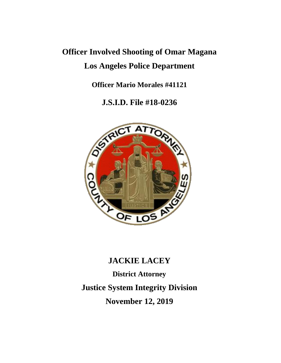# **Officer Involved Shooting of Omar Magana Los Angeles Police Department**

**Officer Mario Morales #41121**

**J.S.I.D. File #18-0236**



## **JACKIE LACEY**

**District Attorney Justice System Integrity Division November 12, 2019**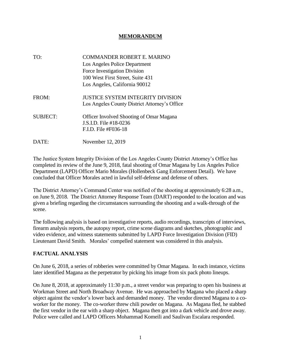#### **MEMORANDUM**

| TO:             | <b>COMMANDER ROBERT E. MARINO</b><br>Los Angeles Police Department<br>Force Investigation Division<br>100 West First Street, Suite 431<br>Los Angeles, California 90012 |
|-----------------|-------------------------------------------------------------------------------------------------------------------------------------------------------------------------|
| FROM:           | <b>JUSTICE SYSTEM INTEGRITY DIVISION</b><br>Los Angeles County District Attorney's Office                                                                               |
| <b>SUBJECT:</b> | <b>Officer Involved Shooting of Omar Magana</b><br>J.S.I.D. File #18-0236<br>F.I.D. File #F036-18                                                                       |
| DATE:           | November 12, 2019                                                                                                                                                       |

The Justice System Integrity Division of the Los Angeles County District Attorney's Office has completed its review of the June 9, 2018, fatal shooting of Omar Magana by Los Angeles Police Department (LAPD) Officer Mario Morales (Hollenbeck Gang Enforcement Detail). We have concluded that Officer Morales acted in lawful self-defense and defense of others.

The District Attorney's Command Center was notified of the shooting at approximately 6:28 a.m., on June 9, 2018. The District Attorney Response Team (DART) responded to the location and was given a briefing regarding the circumstances surrounding the shooting and a walk-through of the scene.

The following analysis is based on investigative reports, audio recordings, transcripts of interviews, firearm analysis reports, the autopsy report, crime scene diagrams and sketches, photographic and video evidence, and witness statements submitted by LAPD Force Investigation Division (FID) Lieutenant David Smith. Morales' compelled statement was considered in this analysis.

#### **FACTUAL ANALYSIS**

On June 6, 2018, a series of robberies were committed by Omar Magana. In each instance, victims later identified Magana as the perpetrator by picking his image from six pack photo lineups.

On June 8, 2018, at approximately 11:30 p.m., a street vendor was preparing to open his business at Workman Street and North Broadway Avenue. He was approached by Magana who placed a sharp object against the vendor's lower back and demanded money. The vendor directed Magana to a coworker for the money. The co-worker threw chili powder on Magana. As Magana fled, he stabbed the first vendor in the ear with a sharp object. Magana then got into a dark vehicle and drove away. Police were called and LAPD Officers Mohammad Komeili and Saulivan Escalara responded.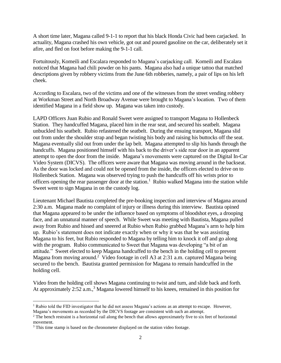A short time later, Magana called 9-1-1 to report that his black Honda Civic had been carjacked. In actuality, Magana crashed his own vehicle, got out and poured gasoline on the car, deliberately set it afire, and fled on foot before making the 9-1-1 call.

Fortuitously, Komeili and Escalara responded to Magana's carjacking call. Komeili and Escalara noticed that Magana had chili powder on his pants. Magana also had a unique tattoo that matched descriptions given by robbery victims from the June 6th robberies, namely, a pair of lips on his left cheek.

According to Escalara, two of the victims and one of the witnesses from the street vending robbery at Workman Street and North Broadway Avenue were brought to Magana's location. Two of them identified Magana in a field show up. Magana was taken into custody.

LAPD Officers Juan Rubio and Ronald Sweet were assigned to transport Magana to Hollenbeck Station. They handcuffed Magana, placed him in the rear seat, and secured his seatbelt. Magana unbuckled his seatbelt. Rubio refastened the seatbelt. During the ensuing transport, Magana slid out from under the shoulder strap and began twisting his body and raising his buttocks off the seat. Magana eventually slid out from under the lap belt. Magana attempted to slip his hands through the handcuffs. Magana positioned himself with his back to the driver's side rear door in an apparent attempt to open the door from the inside. Magana's movements were captured on the Digital In-Car Video System (DICVS). The officers were aware that Magana was moving around in the backseat. As the door was locked and could not be opened from the inside, the officers elected to drive on to Hollenbeck Station. Magana was observed trying to push the handcuffs off his wrists prior to officers opening the rear passenger door at the station.<sup>1</sup> Rubio walked Magana into the station while Sweet went to sign Magana in on the custody log.

Lieutenant Michael Bautista completed the pre-booking inspection and interview of Magana around 2:30 a.m. Magana made no complaint of injury or illness during this interview. Bautista opined that Magana appeared to be under the influence based on symptoms of bloodshot eyes, a drooping face, and an unnatural manner of speech. While Sweet was meeting with Bautista, Magana pulled away from Rubio and hissed and sneered at Rubio when Rubio grabbed Magana's arm to help him up. Rubio's statement does not indicate exactly when or why it was that he was assisting Magana to his feet, but Rubio responded to Magana by telling him to knock it off and go along with the program. Rubio communicated to Sweet that Magana was developing "a bit of an attitude." Sweet elected to keep Magana handcuffed to the bench in the holding cell to prevent Magana from moving around.<sup>2</sup> Video footage in cell A3 at 2:31 a.m. captured Magana being secured to the bench. Bautista granted permission for Magana to remain handcuffed in the holding cell.

Video from the holding cell shows Magana continuing to twist and turn, and slide back and forth. At approximately 2:52 a.m.,<sup>3</sup> Magana lowered himself to his knees, remained in this position for

<sup>&</sup>lt;sup>1</sup> Rubio told the FID investigator that he did not assess Magana's actions as an attempt to escape. However, Magana's movements as recorded by the DICVS footage are consistent with such an attempt.

<sup>&</sup>lt;sup>2</sup> The bench restraint is a horizontal rail along the bench that allows approximately five to six feet of horizontal movement.

<sup>&</sup>lt;sup>3</sup> This time stamp is based on the chronometer displayed on the station video footage.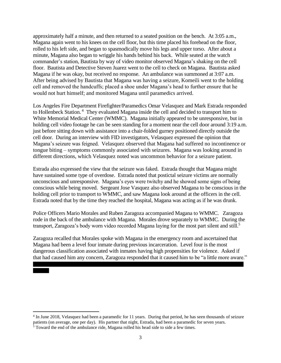approximately half a minute, and then returned to a seated position on the bench. At 3:05 a.m., Magana again went to his knees on the cell floor, but this time placed his forehead on the floor, rolled to his left side, and began to spasmodically move his legs and upper torso. After about a minute, Magana also began to wriggle his hands behind his back. While seated at the watch commander's station, Bautista by way of video monitor observed Magana's shaking on the cell floor. Bautista and Detective Steven Juarez went to the cell to check on Magana. Bautista asked Magana if he was okay, but received no response. An ambulance was summoned at 3:07 a.m. After being advised by Bautista that Magana was having a seizure, Komeili went to the holding cell and removed the handcuffs; placed a shoe under Magana's head to further ensure that he would not hurt himself; and monitored Magana until paramedics arrived.

Los Angeles Fire Department Firefighter/Paramedics Omar Velasquez and Mark Estrada responded to Hollenbeck Station.<sup>4</sup> They evaluated Magana inside the cell and decided to transport him to White Memorial Medical Center (WMMC). Magana initially appeared to be unresponsive, but in holding cell video footage he can be seen standing for a moment near the cell door around 3:19 a.m. just before sitting down with assistance into a chair-folded gurney positioned directly outside the cell door. During an interview with FID investigators, Velasquez expressed the opinion that Magana's seizure was feigned. Velasquez observed that Magana had suffered no incontinence or tongue biting – symptoms commonly associated with seizures. Magana was looking around in different directions, which Velasquez noted was uncommon behavior for a seizure patient.

Estrada also expressed the view that the seizure was faked. Estrada thought that Magana might have sustained some type of overdose. Estrada noted that postictal seizure victims are normally unconscious and unresponsive. Magana's eyes were twitchy and he showed some signs of being conscious while being moved. Sergeant Jose Vasquez also observed Magana to be conscious in the holding cell prior to transport to WMMC, and saw Magana look around at the officers in the cell. Estrada noted that by the time they reached the hospital, Magana was acting as if he was drunk.

Police Officers Mario Morales and Ruben Zaragoza accompanied Magana to WMMC. Zaragoza rode in the back of the ambulance with Magana. Morales drove separately to WMMC. During the transport, Zaragoza's body worn video recorded Magana laying for the most part silent and still.<sup>5</sup>

Zaragoza recalled that Morales spoke with Magana in the emergency room and ascertained that Magana had been a level four inmate during previous incarceration. Level four is the most dangerous classification associated with inmates having high propensities for violence. Asked if that had caused him any concern, Zaragoza responded that it caused him to be "a little more aware."

<sup>4</sup> In June 2018, Velasquez had been a paramedic for 11 years. During that period, he has seen thousands of seizure patients (on average, one per day). His partner that night, Estrada, had been a paramedic for seven years.

<sup>&</sup>lt;sup>5</sup> Toward the end of the ambulance ride, Magana rolled his head side to side a few times.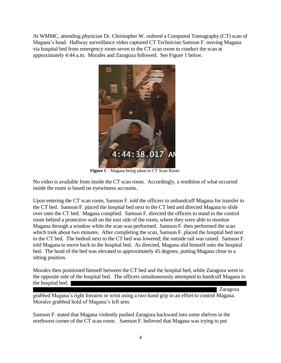At WMMC, attending physician Dr. Christopher W. ordered a Computed Tomography (CT) scan of Magana's head. Hallway surveillance video captured CT Technician Samson F. moving Magana via hospital bed from emergency room seven to the CT scan room to conduct the scan at approximately 4:44 a.m. Morales and Zaragoza followed. See Figure 1 below.



**Figure 1** – Magana being taken to CT Scan Room

No video is available from inside the CT scan room. Accordingly, a rendition of what occurred inside the room is based on eyewitness accounts.

Upon entering the CT scan room, Samson F. told the officers to unhandcuff Magana for transfer to the CT bed. Samson F. placed the hospital bed next to the CT bed and directed Magana to slide over onto the CT bed. Magana complied. Samson F. directed the officers to stand in the control room behind a protective wall on the east side of the room, where they were able to monitor Magana through a window while the scan was performed. Samson F. then performed the scan which took about two minutes. After completing the scan, Samson F. placed the hospital bed next to the CT bed. The bedrail next to the CT bed was lowered; the outside rail was raised. Samson F. told Magana to move back to the hospital bed. As directed, Magana slid himself onto the hospital bed. The head of the bed was elevated to approximately 45 degrees, putting Magana close to a sitting position.

Morales then positioned himself between the CT bed and the hospital bed, while Zaragoza went to the opposite side of the hospital bed. The officers simultaneously attempted to handcuff Magana to the hospital bed. I

Zaragoza

grabbed Magana's right forearm or wrist using a two-hand grip in an effort to control Magana. Morales grabbed hold of Magana's left arm.

Samson F. stated that Magana violently pushed Zaragoza backward into some shelves in the northwest corner of the CT scan room. Samson F. believed that Magana was trying to put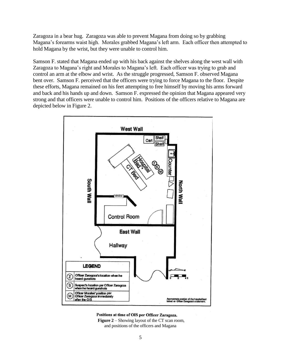Zaragoza in a bear hug. Zaragoza was able to prevent Magana from doing so by grabbing Magana's forearms waist high. Morales grabbed Magana's left arm. Each officer then attempted to hold Magana by the wrist, but they were unable to control him.

Samson F. stated that Magana ended up with his back against the shelves along the west wall with Zaragoza to Magana's right and Morales to Magana's left. Each officer was trying to grab and control an arm at the elbow and wrist. As the struggle progressed, Samson F. observed Magana bent over. Samson F. perceived that the officers were trying to force Magana to the floor. Despite these efforts, Magana remained on his feet attempting to free himself by moving his arms forward and back and his hands up and down. Samson F. expressed the opinion that Magana appeared very strong and that officers were unable to control him. Positions of the officers relative to Magana are depicted below in Figure 2.



#### Positions at time of OIS per Officer Zaragoza.

**Figure 2** – Showing layout of the CT scan room, and positions of the officers and Magana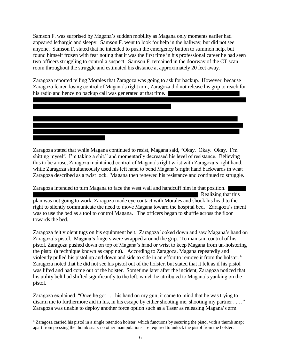Samson F. was surprised by Magana's sudden mobility as Magana only moments earlier had appeared lethargic and sleepy. Samson F. went to look for help in the hallway, but did not see anyone. Samson F. stated that he intended to push the emergency button to summon help, but found himself frozen with fear noting that it was the first time in his professional career he had seen two officers struggling to control a suspect. Samson F. remained in the doorway of the CT scan room throughout the struggle and estimated his distance at approximately 20 feet away.

Zaragoza reported telling Morales that Zaragoza was going to ask for backup. However, because Zaragoza feared losing control of Magana's right arm, Zaragoza did not release his grip to reach for his radio and hence no backup call was generated at that time.

Zaragoza stated that while Magana continued to resist, Magana said, "Okay. Okay. Okay. I'm shitting myself. I'm taking a shit." and momentarily decreased his level of resistance. Believing this to be a ruse, Zaragoza maintained control of Magana's right wrist with Zaragoza's right hand, while Zaragoza simultaneously used his left hand to bend Magana's right hand backwards in what Zaragoza described as a twist lock. Magana then renewed his resistance and continued to struggle.

Zaragoza intended to turn Magana to face the west wall and handcuff him in that position. Realizing that this plan was not going to work, Zaragoza made eye contact with Morales and shook his head to the right to silently communicate the need to move Magana toward the hospital bed. Zaragoza's intent was to use the bed as a tool to control Magana. The officers began to shuffle across the floor towards the bed.

Zaragoza felt violent tugs on his equipment belt. Zaragoza looked down and saw Magana's hand on Zaragoza's pistol. Magana's fingers were wrapped around the grip. To maintain control of his pistol, Zaragoza pushed down on top of Magana's hand or wrist to keep Magana from un-holstering the pistol (a technique known as capping). According to Zaragoza, Magana repeatedly and violently pulled his pistol up and down and side to side in an effort to remove it from the holster.<sup>6</sup> Zaragoza noted that he did not see his pistol out of the holster, but stated that it felt as if his pistol was lifted and had come out of the holster. Sometime later after the incident, Zaragoza noticed that his utility belt had shifted significantly to the left, which he attributed to Magana's yanking on the pistol.

Zaragoza explained, "Once he got . . . his hand on my gun, it came to mind that he was trying to disarm me to furthermore aid in his, in his escape by either shooting me, shooting my partner  $\dots$ ." Zaragoza was unable to deploy another force option such as a Taser as releasing Magana's arm

 $6$  Zaragoza carried his pistol in a single retention holster, which functions by securing the pistol with a thumb snap; apart from pressing the thumb snap, no other manipulations are required to unlock the pistol from the holster.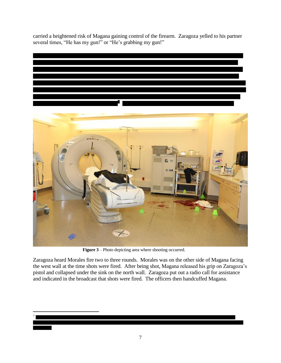carried a heightened risk of Magana gaining control of the firearm. Zaragoza yelled to his partner several times, "He has my gun!" or "He's grabbing my gun!"





**Figure 3** – Photo depicting area where shooting occurred.

Zaragoza heard Morales fire two to three rounds. Morales was on the other side of Magana facing the west wall at the time shots were fired. After being shot, Magana released his grip on Zaragoza's pistol and collapsed under the sink on the north wall. Zaragoza put out a radio call for assistance and indicated in the broadcast that shots were fired. The officers then handcuffed Magana.

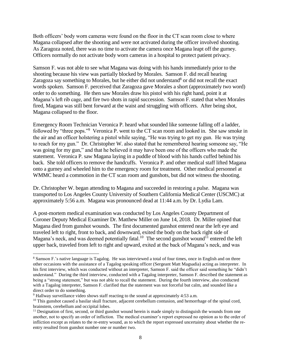Both officers' body worn cameras were found on the floor in the CT scan room close to where Magana collapsed after the shooting and were not activated during the officer involved shooting. As Zaragoza noted, there was no time to activate the camera once Magana leapt off the gurney. Officers normally do not activate body worn cameras in a hospital to protect patient privacy.

Samson F. was not able to see what Magana was doing with his hands immediately prior to the shooting because his view was partially blocked by Morales. Samson F. did recall hearing Zaragoza say something to Morales, but he either did not understand<sup>8</sup> or did not recall the exact words spoken. Samson F. perceived that Zaragoza gave Morales a short (approximately two word) order to do something. He then saw Morales draw his pistol with his right hand, point it at Magana's left rib cage, and fire two shots in rapid succession. Samson F. stated that when Morales fired, Magana was still bent forward at the waist and struggling with officers. After being shot, Magana collapsed to the floor.

Emergency Room Technician Veronica P. heard what sounded like someone falling off a ladder, followed by "three pops."<sup>9</sup> Veronica P. went to the CT scan room and looked in. She saw smoke in the air and an officer holstering a pistol while saying, "He was trying to get my gun. He was trying to reach for my gun." Dr. Christopher W. also stated that he remembered hearing someone say, "He was going for my gun," and that he believed it may have been one of the officers who made the statement. Veronica P. saw Magana laying in a puddle of blood with his hands cuffed behind his back. She told officers to remove the handcuffs. Veronica P. and other medical staff lifted Magana onto a gurney and wheeled him to the emergency room for treatment. Other medical personnel at WMMC heard a commotion in the CT scan room and gunshots, but did not witness the shooting.

Dr. Christopher W. began attending to Magana and succeeded in restoring a pulse. Magana was transported to Los Angeles County University of Southern California Medical Center (USCMC) at approximately 5:56 a.m. Magana was pronounced dead at 11:44 a.m. by Dr. Lydia Lam.

A post-mortem medical examination was conducted by Los Angeles County Department of Coroner Deputy Medical Examiner Dr. Matthew Miller on June 14, 2018. Dr. Miller opined that Magana died from gunshot wounds. The first documented gunshot entered near the left eye and traveled left to right, front to back, and downward, exited the body on the back right side of Magana's neck, and was deemed potentially fatal.<sup>10</sup> The second gunshot wound<sup>11</sup> entered the left upper back, traveled from left to right and upward, exited at the back of Magana's neck, and was

<sup>8</sup> Samson F.'s native language is Tagalog. He was interviewed a total of four times, once in English and on three other occasions with the assistance of a Tagalog speaking officer (Sergeant Matt Magsadia) acting as interpreter. In his first interview, which was conducted without an interpreter, Samson F. said the officer said something he "didn't understand." During the third interview, conducted with a Tagalog interpreter, Samson F. described the statement as being a "strong statement," but was not able to recall the statement. During the fourth interview, also conducted with a Tagalog interpreter, Samson F. clarified that the statement was not forceful but calm, and sounded like a direct order to do something.

<sup>9</sup> Hallway surveillance video shows staff reacting to the sound at approximately 4:53 a.m.

<sup>&</sup>lt;sup>10</sup> This gunshot caused a basilar skull fracture, adjacent cerebellum contusion, and hemorrhage of the spinal cord, brainstem, cerebellum and occipital lobes.

 $<sup>11</sup>$  Designation of first, second, or third gunshot wound herein is made simply to distinguish the wounds from one</sup> another, not to specify an order of infliction. The medical examiner's report expressed no opinion as to the order of infliction except as relates to the re-entry wound, as to which the report expressed uncertainty about whether the reentry resulted from gunshot number one or number two.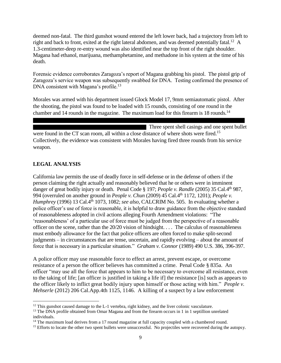deemed non-fatal. The third gunshot wound entered the left lower back, had a trajectory from left to right and back to front, exited at the right lateral abdomen, and was deemed potentially fatal.<sup>12</sup> A 1.3-centimeter-deep re-entry wound was also identified near the top front of the right shoulder. Magana had ethanol, marijuana, methamphetamine, and methadone in his system at the time of his death.

Forensic evidence corroborates Zaragoza's report of Magana grabbing his pistol. The pistol grip of Zaragoza's service weapon was subsequently swabbed for DNA. Testing confirmed the presence of DNA consistent with Magana's profile.<sup>13</sup>

Morales was armed with his department issued Glock Model 17, 9mm semiautomatic pistol. After the shooting, the pistol was found to be loaded with 15 rounds, consisting of one round in the chamber and 14 rounds in the magazine. The maximum load for this firearm is 18 rounds.<sup>14</sup>

 Three spent shell casings and one spent bullet were found in the CT scan room, all within a close distance of where shots were fired.<sup>15</sup> Collectively, the evidence was consistent with Morales having fired three rounds from his service weapon.

#### **LEGAL ANALYSIS**

California law permits the use of deadly force in self-defense or in the defense of others if the person claiming the right actually and reasonably believed that he or others were in imminent danger of great bodily injury or death. Penal Code § 197; *People v. Randle* (2005) 35 Cal.4th 987, 994 (overruled on another ground in *People v. Chun* (2009) 45 Cal.4th 1172, 1201); *People v. Humphrey* (1996) 13 Cal.4<sup>th</sup> 1073, 1082; *see also*, CALCRIM No. 505. In evaluating whether a police officer's use of force is reasonable, it is helpful to draw guidance from the objective standard of reasonableness adopted in civil actions alleging Fourth Amendment violations: "The 'reasonableness' of a particular use of force must be judged from the perspective of a reasonable officer on the scene, rather than the 20/20 vision of hindsight. . . . The calculus of reasonableness must embody allowance for the fact that police officers are often forced to make split-second judgments – in circumstances that are tense, uncertain, and rapidly evolving – about the amount of force that is necessary in a particular situation." *Graham v. Connor* (1989) 490 U.S. 386, 396-397.

A police officer may use reasonable force to effect an arrest, prevent escape, or overcome resistance of a person the officer believes has committed a crime. Penal Code § 835a. An officer "may use all the force that appears to him to be necessary to overcome all resistance, even to the taking of life; [an officer is justified in taking a life if] the resistance [is] such as appears to the officer likely to inflict great bodily injury upon himself or those acting with him." *People v. Mehserle* (2012) 206 Cal.App.4th 1125, 1146. A killing of a suspect by a law enforcement

 $12$  This gunshot caused damage to the L-1 vertebra, right kidney, and the liver colonic vasculature.

<sup>&</sup>lt;sup>13</sup> The DNA profile obtained from Omar Magana and from the firearm occurs in 1 in 1 septillion unrelated individuals.

 $14$  The maximum load derives from a 17 round magazine at full capacity coupled with a chambered round.

<sup>&</sup>lt;sup>15</sup> Efforts to locate the other two spent bullets were unsuccessful. No projectiles were recovered during the autopsy.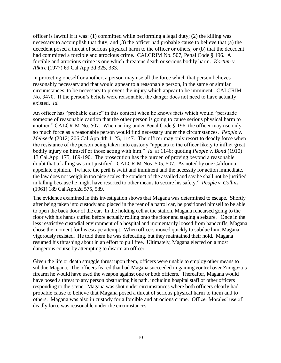officer is lawful if it was: (1) committed while performing a legal duty; (2) the killing was necessary to accomplish that duty; and (3) the officer had probable cause to believe that (a) the decedent posed a threat of serious physical harm to the officer or others, or (b) that the decedent had committed a forcible and atrocious crime. CALCRIM No. 507, Penal Code § 196. A forcible and atrocious crime is one which threatens death or serious bodily harm. *Kortum v. Alkire* (1977) 69 Cal.App.3d 325, 333.

In protecting oneself or another, a person may use all the force which that person believes reasonably necessary and that would appear to a reasonable person, in the same or similar circumstances, to be necessary to prevent the injury which appear to be imminent. CALCRIM No. 3470. If the person's beliefs were reasonable, the danger does not need to have actually existed. *Id.*

An officer has "probable cause" in this context when he knows facts which would "persuade someone of reasonable caution that the other person is going to cause serious physical harm to another." CALCRIM No. 507. When acting under Penal Code § 196, the officer may use only so much force as a reasonable person would find necessary under the circumstances. *People v. Mehserle* (2012) 206 Cal.App.4th 1125, 1147. The officer may only resort to deadly force when the resistance of the person being taken into custody "appears to the officer likely to inflict great bodily injury on himself or those acting with him." *Id.* at 1146; quoting *People v. Bond* (1910) 13 Cal.App. 175, 189-190. The prosecution has the burden of proving beyond a reasonable doubt that a killing was not justified. CALCRIM Nos. 505, 507. As noted by one California appellate opinion, "[w]here the peril is swift and imminent and the necessity for action immediate, the law does not weigh in too nice scales the conduct of the assailed and say he shall not be justified in killing because he might have resorted to other means to secure his safety." *People v. Collins* (1961) 189 Cal.App.2d 575, 589.

The evidence examined in this investigation shows that Magana was determined to escape. Shortly after being taken into custody and placed in the rear of a patrol car, he positioned himself to be able to open the back door of the car. In the holding cell at the station, Magana rehearsed going to the floor with his hands cuffed before actually rolling onto the floor and staging a seizure. Once in the less restrictive custodial environment of a hospital and momentarily loosed from handcuffs, Magana chose the moment for his escape attempt. When officers moved quickly to subdue him, Magana vigorously resisted. He told them he was defecating, but they maintained their hold. Magana resumed his thrashing about in an effort to pull free. Ultimately, Magana elected on a most dangerous course by attempting to disarm an officer.

Given the life or death struggle thrust upon them, officers were unable to employ other means to subdue Magana. The officers feared that had Magana succeeded in gaining control over Zaragoza's firearm he would have used the weapon against one or both officers. Thereafter, Magana would have posed a threat to any person obstructing his path, including hospital staff or other officers responding to the scene. Magana was shot under circumstances where both officers clearly had probable cause to believe that Magana posed a threat of serious physical harm to them and to others. Magana was also in custody for a forcible and atrocious crime. Officer Morales' use of deadly force was reasonable under the circumstances.